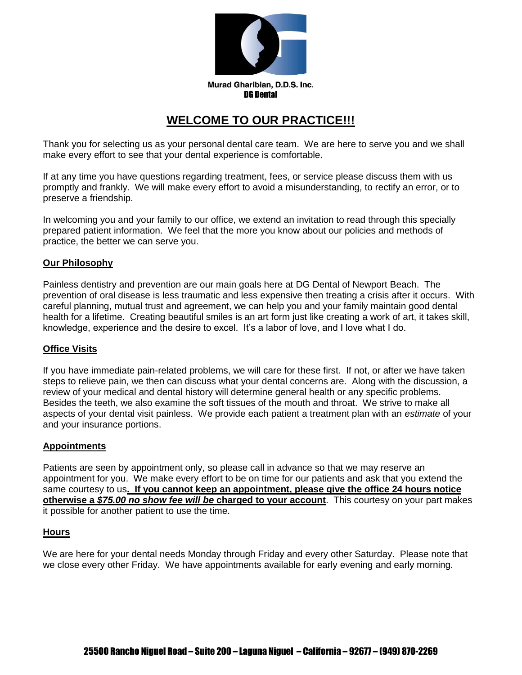

Murad Gharibian, D.D.S. Inc. DG Dental

# **WELCOME TO OUR PRACTICE!!!**

Thank you for selecting us as your personal dental care team. We are here to serve you and we shall make every effort to see that your dental experience is comfortable.

If at any time you have questions regarding treatment, fees, or service please discuss them with us promptly and frankly. We will make every effort to avoid a misunderstanding, to rectify an error, or to preserve a friendship.

In welcoming you and your family to our office, we extend an invitation to read through this specially prepared patient information. We feel that the more you know about our policies and methods of practice, the better we can serve you.

#### **Our Philosophy**

Painless dentistry and prevention are our main goals here at DG Dental of Newport Beach. The prevention of oral disease is less traumatic and less expensive then treating a crisis after it occurs. With careful planning, mutual trust and agreement, we can help you and your family maintain good dental health for a lifetime. Creating beautiful smiles is an art form just like creating a work of art, it takes skill, knowledge, experience and the desire to excel. It's a labor of love, and I love what I do.

#### **Office Visits**

If you have immediate pain-related problems, we will care for these first. If not, or after we have taken steps to relieve pain, we then can discuss what your dental concerns are. Along with the discussion, a review of your medical and dental history will determine general health or any specific problems. Besides the teeth, we also examine the soft tissues of the mouth and throat. We strive to make all aspects of your dental visit painless. We provide each patient a treatment plan with an *estimate* of your and your insurance portions.

#### **Appointments**

Patients are seen by appointment only, so please call in advance so that we may reserve an appointment for you. We make every effort to be on time for our patients and ask that you extend the same courtesy to us**. If you cannot keep an appointment, please give the office 24 hours notice otherwise a** *\$75.00 no show fee will be* **charged to your account**. This courtesy on your part makes it possible for another patient to use the time.

#### **Hours**

We are here for your dental needs Monday through Friday and every other Saturday. Please note that we close every other Friday. We have appointments available for early evening and early morning.